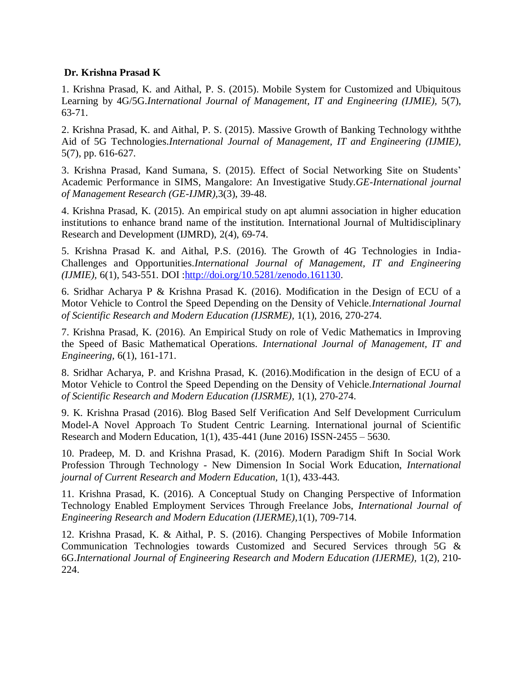## **Dr. Krishna Prasad K**

1. Krishna Prasad, K. and Aithal, P. S. (2015). Mobile System for Customized and Ubiquitous Learning by 4G/5G.*International Journal of Management, IT and Engineering (IJMIE),* 5(7), 63-71.

2. Krishna Prasad, K. and Aithal, P. S. (2015). Massive Growth of Banking Technology withthe Aid of 5G Technologies.*International Journal of Management, IT and Engineering (IJMIE),* 5(7), pp. 616-627.

3. Krishna Prasad, Kand Sumana, S. (2015). Effect of Social Networking Site on Students' Academic Performance in SIMS, Mangalore: An Investigative Study.*GE-International journal of Management Research (GE-IJMR),*3(3), 39-48.

4. Krishna Prasad, K. (2015). An empirical study on apt alumni association in higher education institutions to enhance brand name of the institution. International Journal of Multidisciplinary Research and Development (IJMRD), 2(4), 69-74.

5. Krishna Prasad K. and Aithal, P.S. (2016). The Growth of 4G Technologies in India-Challenges and Opportunities.*International Journal of Management, IT and Engineering (IJMIE),* 6(1), 543-551. DOI [:http://doi.org/10.5281/zenodo.161130.](http://doi.org/10.5281/zenodo.161130)

6. Sridhar Acharya P & Krishna Prasad K. (2016). Modification in the Design of ECU of a Motor Vehicle to Control the Speed Depending on the Density of Vehicle.*International Journal of Scientific Research and Modern Education (IJSRME),* 1(1), 2016, 270-274.

7. Krishna Prasad, K. (2016). An Empirical Study on role of Vedic Mathematics in Improving the Speed of Basic Mathematical Operations. *International Journal of Management, IT and Engineering,* 6(1), 161-171.

8. Sridhar Acharya, P. and Krishna Prasad, K. (2016).Modification in the design of ECU of a Motor Vehicle to Control the Speed Depending on the Density of Vehicle.*International Journal of Scientific Research and Modern Education (IJSRME),* 1(1), 270-274.

9. K. Krishna Prasad (2016). Blog Based Self Verification And Self Development Curriculum Model-A Novel Approach To Student Centric Learning. International journal of Scientific Research and Modern Education, 1(1), 435-441 (June 2016) ISSN-2455 – 5630.

10. Pradeep, M. D. and Krishna Prasad, K. (2016). Modern Paradigm Shift In Social Work Profession Through Technology - New Dimension In Social Work Education, *International journal of Current Research and Modern Education,* 1(1), 433-443.

11. Krishna Prasad, K. (2016). A Conceptual Study on Changing Perspective of Information Technology Enabled Employment Services Through Freelance Jobs, *International Journal of Engineering Research and Modern Education (IJERME),*1(1), 709-714.

12. Krishna Prasad, K. & Aithal, P. S. (2016). Changing Perspectives of Mobile Information Communication Technologies towards Customized and Secured Services through 5G & 6G.*International Journal of Engineering Research and Modern Education (IJERME),* 1(2), 210- 224.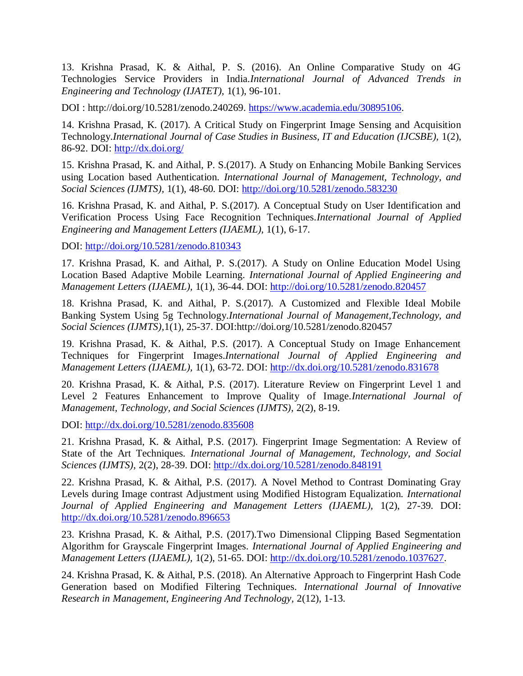13. Krishna Prasad, K. & Aithal, P. S. (2016). An Online Comparative Study on 4G Technologies Service Providers in India.*International Journal of Advanced Trends in Engineering and Technology (IJATET),* 1(1), 96-101.

DOI : http://doi.org/10.5281/zenodo.240269. [https://www.academia.edu/30895106.](https://www.academia.edu/30895106)

14. Krishna Prasad, K. (2017). A Critical Study on Fingerprint Image Sensing and Acquisition Technology.*International Journal of Case Studies in Business, IT and Education (IJCSBE),* 1(2), 86-92. DOI:<http://dx.doi.org/>

15. Krishna Prasad, K. and Aithal, P. S.(2017). A Study on Enhancing Mobile Banking Services using Location based Authentication. *International Journal of Management, Technology, and Social Sciences (IJMTS),* 1(1), 48-60. DOI:<http://doi.org/10.5281/zenodo.583230>

16. Krishna Prasad, K. and Aithal, P. S.(2017). A Conceptual Study on User Identification and Verification Process Using Face Recognition Techniques.*International Journal of Applied Engineering and Management Letters (IJAEML),* 1(1), 6-17.

DOI:<http://doi.org/10.5281/zenodo.810343>

17. Krishna Prasad, K. and Aithal, P. S.(2017). A Study on Online Education Model Using Location Based Adaptive Mobile Learning. *International Journal of Applied Engineering and Management Letters (IJAEML),* 1(1), 36-44. DOI:<http://doi.org/10.5281/zenodo.820457>

18. Krishna Prasad, K. and Aithal, P. S.(2017). A Customized and Flexible Ideal Mobile Banking System Using 5g Technology.*International Journal of Management,Technology, and Social Sciences (IJMTS),*1(1), 25-37. DOI:http://doi.org/10.5281/zenodo.820457

19. Krishna Prasad, K. & Aithal, P.S. (2017). A Conceptual Study on Image Enhancement Techniques for Fingerprint Images.*International Journal of Applied Engineering and Management Letters (IJAEML),* 1(1), 63-72. DOI:<http://dx.doi.org/10.5281/zenodo.831678>

20. Krishna Prasad, K. & Aithal, P.S. (2017). Literature Review on Fingerprint Level 1 and Level 2 Features Enhancement to Improve Quality of Image.*International Journal of Management, Technology, and Social Sciences (IJMTS),* 2(2), 8-19.

DOI:<http://dx.doi.org/10.5281/zenodo.835608>

21. Krishna Prasad, K. & Aithal, P.S. (2017). Fingerprint Image Segmentation: A Review of State of the Art Techniques. *International Journal of Management, Technology, and Social Sciences (IJMTS),* 2(2), 28-39. DOI:<http://dx.doi.org/10.5281/zenodo.848191>

22. Krishna Prasad, K. & Aithal, P.S. (2017). A Novel Method to Contrast Dominating Gray Levels during Image contrast Adjustment using Modified Histogram Equalization. *International Journal of Applied Engineering and Management Letters (IJAEML),* 1(2), 27-39. DOI: <http://dx.doi.org/10.5281/zenodo.896653>

23. Krishna Prasad, K. & Aithal, P.S. (2017).Two Dimensional Clipping Based Segmentation Algorithm for Grayscale Fingerprint Images. *International Journal of Applied Engineering and Management Letters (IJAEML),* 1(2), 51-65. DOI: [http://dx.doi.org/10.5281/zenodo.1037627.](http://dx.doi.org/10.5281/zenodo.1037627)

24. Krishna Prasad, K. & Aithal, P.S. (2018). An Alternative Approach to Fingerprint Hash Code Generation based on Modified Filtering Techniques. *International Journal of Innovative Research in Management, Engineering And Technology,* 2(12), 1-13.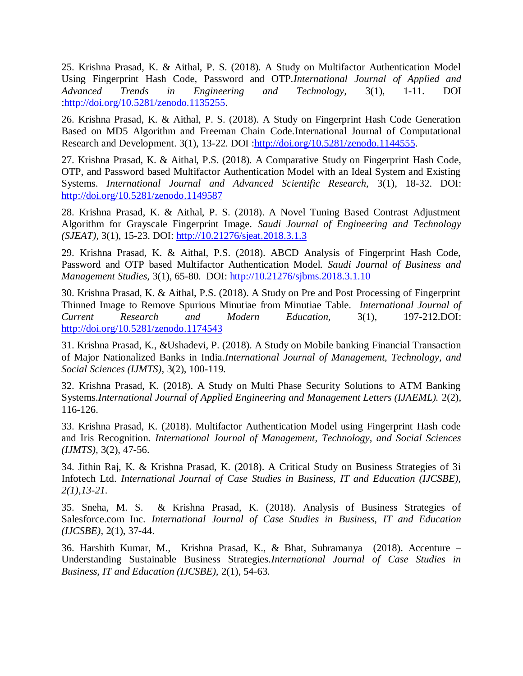25. Krishna Prasad, K. & Aithal, P. S. (2018). A Study on Multifactor Authentication Model Using Fingerprint Hash Code, Password and OTP.*International Journal of Applied and Advanced Trends in Engineering and Technology,* 3(1), 1-11. DOI [:http://doi.org/10.5281/zenodo.1135255.](http://doi.org/10.5281/zenodo.1135255)

26. Krishna Prasad, K. & Aithal, P. S. (2018). A Study on Fingerprint Hash Code Generation Based on MD5 Algorithm and Freeman Chain Code.International Journal of Computational Research and Development. 3(1), 13-22. DOI [:http://doi.org/10.5281/zenodo.1144555.](http://doi.org/10.5281/zenodo.1144555)

27. Krishna Prasad, K. & Aithal, P.S. (2018). A Comparative Study on Fingerprint Hash Code, OTP, and Password based Multifactor Authentication Model with an Ideal System and Existing Systems. *International Journal and Advanced Scientific Research,* 3(1), 18-32. DOI: <http://doi.org/10.5281/zenodo.1149587>

28. Krishna Prasad, K. & Aithal, P. S. (2018). A Novel Tuning Based Contrast Adjustment Algorithm for Grayscale Fingerprint Image. *Saudi Journal of Engineering and Technology (SJEAT),* 3(1), 15-23. DOI: [http://10.21276/sjeat.2018.3.1.3](http://10.0.83.28/sjeat.2018.3.1.3)

29. Krishna Prasad, K. & Aithal, P.S. (2018). ABCD Analysis of Fingerprint Hash Code, Password and OTP based Multifactor Authentication Model. *Saudi Journal of Business and Management Studies,* 3(1), 65-80. DOI: [http://10.21276/sjbms.2018.3.1.10](http://10.0.83.28/sjbms.2018.3.1.10)

30. Krishna Prasad, K. & Aithal, P.S. (2018). A Study on Pre and Post Processing of Fingerprint Thinned Image to Remove Spurious Minutiae from Minutiae Table. *International Journal of Current Research and Modern Education,* 3(1), 197-212.DOI: <http://doi.org/10.5281/zenodo.1174543>

31. Krishna Prasad, K., &Ushadevi, P. (2018). A Study on Mobile banking Financial Transaction of Major Nationalized Banks in India.*International Journal of Management, Technology, and Social Sciences (IJMTS),* 3(2), 100-119.

32. Krishna Prasad, K. (2018). A Study on Multi Phase Security Solutions to ATM Banking Systems.*International Journal of Applied Engineering and Management Letters (IJAEML).* 2(2), 116-126.

33. Krishna Prasad, K. (2018). Multifactor Authentication Model using Fingerprint Hash code and Iris Recognition*. International Journal of Management, Technology, and Social Sciences (IJMTS),* 3(2), 47-56.

34. Jithin Raj, K. & Krishna Prasad, K. (2018). A Critical Study on Business Strategies of 3i Infotech Ltd. *International Journal of Case Studies in Business, IT and Education (IJCSBE), 2(1),13-21.*

35. Sneha, M. S. & Krishna Prasad, K. (2018). Analysis of Business Strategies of Salesforce.com Inc. *International Journal of Case Studies in Business, IT and Education (IJCSBE),* 2(1), 37-44.

36. Harshith Kumar, M., Krishna Prasad, K., & Bhat, Subramanya (2018). Accenture – Understanding Sustainable Business Strategies.*International Journal of Case Studies in Business, IT and Education (IJCSBE),* 2(1), 54-63.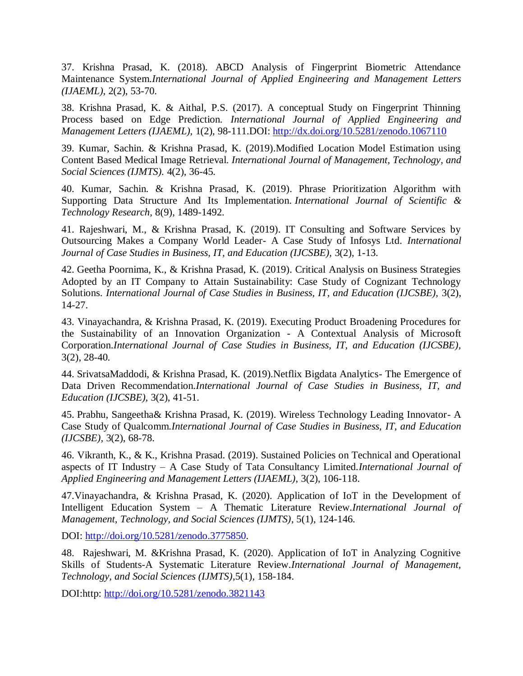37. Krishna Prasad, K. (2018). ABCD Analysis of Fingerprint Biometric Attendance Maintenance System.*International Journal of Applied Engineering and Management Letters (IJAEML),* 2(2), 53-70.

38. Krishna Prasad, K. & Aithal, P.S. (2017). A conceptual Study on Fingerprint Thinning Process based on Edge Prediction. *International Journal of Applied Engineering and Management Letters (IJAEML),* 1(2), 98-111.DOI:<http://dx.doi.org/10.5281/zenodo.1067110>

39. Kumar, Sachin. & Krishna Prasad, K. (2019).Modified Location Model Estimation using Content Based Medical Image Retrieval. *International Journal of Management, Technology, and Social Sciences (IJMTS).* 4(2), 36-45.

40. Kumar, Sachin. & Krishna Prasad, K. (2019). Phrase Prioritization Algorithm with Supporting Data Structure And Its Implementation*. International Journal of Scientific & Technology Research,* 8(9), 1489-1492.

41. Rajeshwari, M., & Krishna Prasad, K. (2019). IT Consulting and Software Services by Outsourcing Makes a Company World Leader- A Case Study of Infosys Ltd. *International Journal of Case Studies in Business, IT, and Education (IJCSBE),* 3(2), 1-13.

42. Geetha Poornima, K., & Krishna Prasad, K. (2019). Critical Analysis on Business Strategies Adopted by an IT Company to Attain Sustainability: Case Study of Cognizant Technology Solutions. *International Journal of Case Studies in Business, IT, and Education (IJCSBE),* 3(2), 14-27.

43. Vinayachandra, & Krishna Prasad, K. (2019). Executing Product Broadening Procedures for the Sustainability of an Innovation Organization - A Contextual Analysis of Microsoft Corporation.*International Journal of Case Studies in Business, IT, and Education (IJCSBE),* 3(2), 28-40.

44. SrivatsaMaddodi, & Krishna Prasad, K. (2019).Netflix Bigdata Analytics- The Emergence of Data Driven Recommendation.*International Journal of Case Studies in Business, IT, and Education (IJCSBE),* 3(2), 41-51.

45. Prabhu, Sangeetha& Krishna Prasad, K. (2019). Wireless Technology Leading Innovator- A Case Study of Qualcomm.*International Journal of Case Studies in Business, IT, and Education (IJCSBE),* 3(2), 68-78.

46. Vikranth, K., & K., Krishna Prasad. (2019). Sustained Policies on Technical and Operational aspects of IT Industry – A Case Study of Tata Consultancy Limited.*International Journal of Applied Engineering and Management Letters (IJAEML),* 3(2), 106-118.

47.Vinayachandra, & Krishna Prasad, K. (2020). Application of IoT in the Development of Intelligent Education System – A Thematic Literature Review.*International Journal of Management, Technology, and Social Sciences (IJMTS)*, 5(1), 124-146.

DOI: [http://doi.org/10.5281/zenodo.3775850.](http://doi.org/10.5281/zenodo.3775850)

48. Rajeshwari, M. &Krishna Prasad, K. (2020). Application of IoT in Analyzing Cognitive Skills of Students-A Systematic Literature Review.*International Journal of Management, Technology, and Social Sciences (IJMTS)*,5(1), 158-184.

DOI:http:<http://doi.org/10.5281/zenodo.3821143>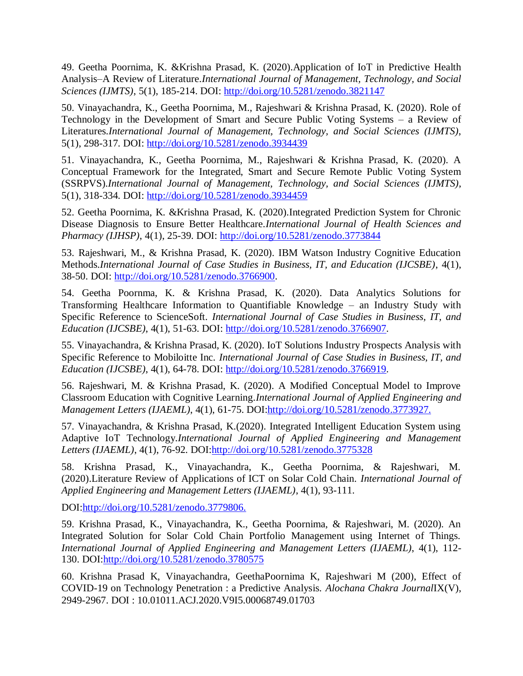49. Geetha Poornima, K. &Krishna Prasad, K. (2020).Application of IoT in Predictive Health Analysis–A Review of Literature.*International Journal of Management, Technology, and Social Sciences (IJMTS)*, 5(1), 185-214. DOI:<http://doi.org/10.5281/zenodo.3821147>

50. Vinayachandra, K., Geetha Poornima, M., Rajeshwari & Krishna Prasad, K. (2020). Role of Technology in the Development of Smart and Secure Public Voting Systems – a Review of Literatures.*International Journal of Management, Technology, and Social Sciences (IJMTS)*, 5(1), 298-317. DOI:<http://doi.org/10.5281/zenodo.3934439>

51. Vinayachandra, K., Geetha Poornima, M., Rajeshwari & Krishna Prasad, K. (2020). A Conceptual Framework for the Integrated, Smart and Secure Remote Public Voting System (SSRPVS).*International Journal of Management, Technology, and Social Sciences (IJMTS)*, 5(1), 318-334. DOI:<http://doi.org/10.5281/zenodo.3934459>

52. Geetha Poornima, K. &Krishna Prasad, K. (2020).Integrated Prediction System for Chronic Disease Diagnosis to Ensure Better Healthcare.*International Journal of Health Sciences and Pharmacy (IJHSP)*, 4(1), 25-39. DOI:<http://doi.org/10.5281/zenodo.3773844>

53. Rajeshwari, M., & Krishna Prasad, K. (2020). IBM Watson Industry Cognitive Education Methods.*International Journal of Case Studies in Business, IT, and Education (IJCSBE)*, 4(1), 38-50. DOI: [http://doi.org/10.5281/zenodo.3766900.](http://doi.org/10.5281/zenodo.3766900)

54. Geetha Poornma, K. & Krishna Prasad, K. (2020). Data Analytics Solutions for Transforming Healthcare Information to Quantifiable Knowledge – an Industry Study with Specific Reference to ScienceSoft. *International Journal of Case Studies in Business, IT, and Education (IJCSBE)*, 4(1), 51-63. DOI: [http://doi.org/10.5281/zenodo.3766907.](http://doi.org/10.5281/zenodo.3766907)

55. Vinayachandra, & Krishna Prasad, K. (2020). IoT Solutions Industry Prospects Analysis with Specific Reference to Mobiloitte Inc. *International Journal of Case Studies in Business, IT, and Education (IJCSBE)*, 4(1), 64-78. DOI: [http://doi.org/10.5281/zenodo.3766919.](http://doi.org/10.5281/zenodo.3766919)

56. Rajeshwari, M. & Krishna Prasad, K. (2020). A Modified Conceptual Model to Improve Classroom Education with Cognitive Learning.*International Journal of Applied Engineering and Management Letters (IJAEML)*, 4(1), 61-75. DOI:http://doi.org/10.5281/zenodo.3773927.

57. Vinayachandra, & Krishna Prasad, K.(2020). Integrated Intelligent Education System using Adaptive IoT Technology.*International Journal of Applied Engineering and Management Letters (IJAEML)*, 4(1), 76-92. DOI:http://doi.org/10.5281/zenodo.3775328

58. Krishna Prasad, K., Vinayachandra, K., Geetha Poornima, & Rajeshwari, M. (2020).Literature Review of Applications of ICT on Solar Cold Chain. *International Journal of Applied Engineering and Management Letters (IJAEML)*, 4(1), 93-111.

DOI:http://doi.org/10.5281/zenodo.3779806.

59. Krishna Prasad, K., Vinayachandra, K., Geetha Poornima, & Rajeshwari, M. (2020). An Integrated Solution for Solar Cold Chain Portfolio Management using Internet of Things. *International Journal of Applied Engineering and Management Letters (IJAEML)*, 4(1), 112- 130. DOI:http://doi.org/10.5281/zenodo.3780575

60. Krishna Prasad K, Vinayachandra, GeethaPoornima K, Rajeshwari M (200), Effect of COVID-19 on Technology Penetration : a Predictive Analysis. *Alochana Chakra Journal*IX(V), 2949-2967. DOI : 10.01011.ACJ.2020.V9I5.00068749.01703